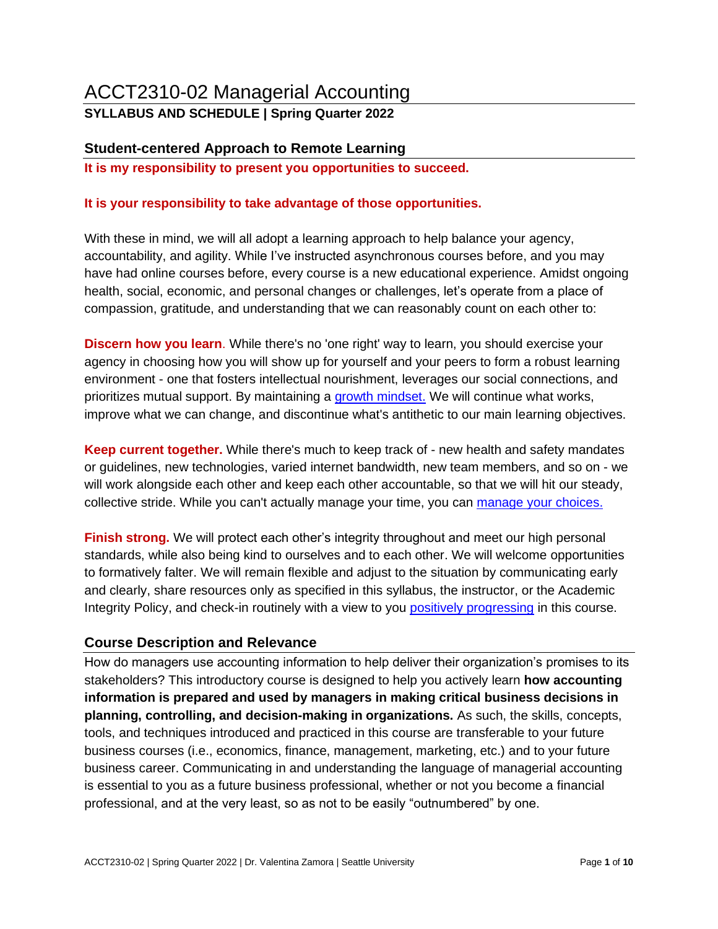# ACCT2310-02 Managerial Accounting **SYLLABUS AND SCHEDULE | Spring Quarter 2022**

# **Student-centered Approach to Remote Learning**

**It is my responsibility to present you opportunities to succeed.** 

### **It is your responsibility to take advantage of those opportunities.**

With these in mind, we will all adopt a learning approach to help balance your agency, accountability, and agility. While I've instructed asynchronous courses before, and you may have had online courses before, every course is a new educational experience. Amidst ongoing health, social, economic, and personal changes or challenges, let's operate from a place of compassion, gratitude, and understanding that we can reasonably count on each other to:

**Discern how you learn**. While there's no 'one right' way to learn, you should exercise your agency in choosing how you will show up for yourself and your peers to form a robust learning environment - one that fosters intellectual nourishment, leverages our social connections, and prioritizes mutual support. By maintaining a [growth mindset.](https://www.youtube.com/watch?v=5e4smtpKcuI#action=share) We will continue what works, improve what we can change, and discontinue what's antithetic to our main learning objectives.

**Keep current together.** While there's much to keep track of - new health and safety mandates or guidelines, new technologies, varied internet bandwidth, new team members, and so on - we will work alongside each other and keep each other accountable, so that we will hit our steady, collective stride. While you can't actually manage your time, you can [manage your choices.](https://www.cnbc.com/2019/04/02/whartons-adam-grant-how-to-do-attention-management-for-productivity.html)

**Finish strong.** We will protect each other's integrity throughout and meet our high personal standards, while also being kind to ourselves and to each other. We will welcome opportunities to formatively falter. We will remain flexible and adjust to the situation by communicating early and clearly, share resources only as specified in this syllabus, the instructor, or the Academic Integrity Policy, and check-in routinely with a view to you [positively progressing](https://www.youtube.com/watch?v=W4M_6ARHyUQ) in this course.

# **Course Description and Relevance**

How do managers use accounting information to help deliver their organization's promises to its stakeholders? This introductory course is designed to help you actively learn **how accounting information is prepared and used by managers in making critical business decisions in planning, controlling, and decision-making in organizations.** As such, the skills, concepts, tools, and techniques introduced and practiced in this course are transferable to your future business courses (i.e., economics, finance, management, marketing, etc.) and to your future business career. Communicating in and understanding the language of managerial accounting is essential to you as a future business professional, whether or not you become a financial professional, and at the very least, so as not to be easily "outnumbered" by one.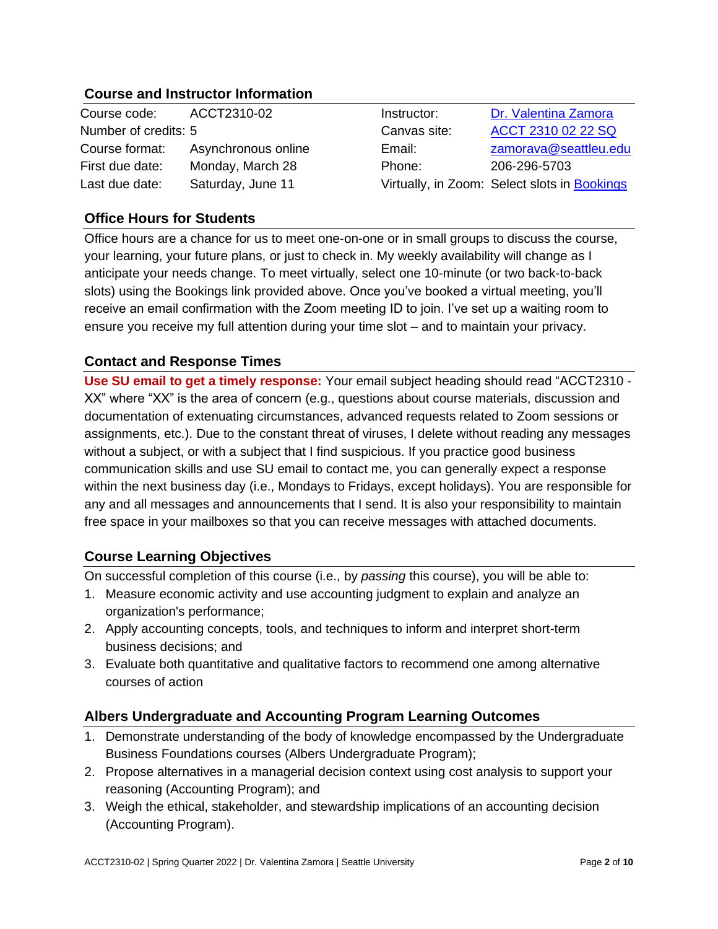# **Course and Instructor Information**

| Course code:         | ACCT2310-02         | Instructor:  | Dr. Valentina Zamora                         |
|----------------------|---------------------|--------------|----------------------------------------------|
| Number of credits: 5 |                     | Canvas site: | ACCT 2310 02 22 SQ                           |
| Course format:       | Asynchronous online | Email:       | zamorava@seattleu.edu                        |
| First due date:      | Monday, March 28    | Phone:       | 206-296-5703                                 |
| Last due date:       | Saturday, June 11   |              | Virtually, in Zoom: Select slots in Bookings |

# **Office Hours for Students**

Office hours are a chance for us to meet one-on-one or in small groups to discuss the course, your learning, your future plans, or just to check in. My weekly availability will change as I anticipate your needs change. To meet virtually, select one 10-minute (or two back-to-back slots) using the Bookings link provided above. Once you've booked a virtual meeting, you'll receive an email confirmation with the Zoom meeting ID to join. I've set up a waiting room to ensure you receive my full attention during your time slot – and to maintain your privacy.

# **Contact and Response Times**

**Use SU email to get a timely response:** Your email subject heading should read "ACCT2310 - XX" where "XX" is the area of concern (e.g., questions about course materials, discussion and documentation of extenuating circumstances, advanced requests related to Zoom sessions or assignments, etc.). Due to the constant threat of viruses, I delete without reading any messages without a subject, or with a subject that I find suspicious. If you practice good business communication skills and use SU email to contact me, you can generally expect a response within the next business day (i.e., Mondays to Fridays, except holidays). You are responsible for any and all messages and announcements that I send. It is also your responsibility to maintain free space in your mailboxes so that you can receive messages with attached documents.

# **Course Learning Objectives**

On successful completion of this course (i.e., by *passing* this course), you will be able to:

- 1. Measure economic activity and use accounting judgment to explain and analyze an organization's performance;
- 2. Apply accounting concepts, tools, and techniques to inform and interpret short-term business decisions; and
- 3. Evaluate both quantitative and qualitative factors to recommend one among alternative courses of action

# **Albers Undergraduate and Accounting Program Learning Outcomes**

- 1. Demonstrate understanding of the body of knowledge encompassed by the Undergraduate Business Foundations courses (Albers Undergraduate Program);
- 2. Propose alternatives in a managerial decision context using cost analysis to support your reasoning (Accounting Program); and
- 3. Weigh the ethical, stakeholder, and stewardship implications of an accounting decision (Accounting Program).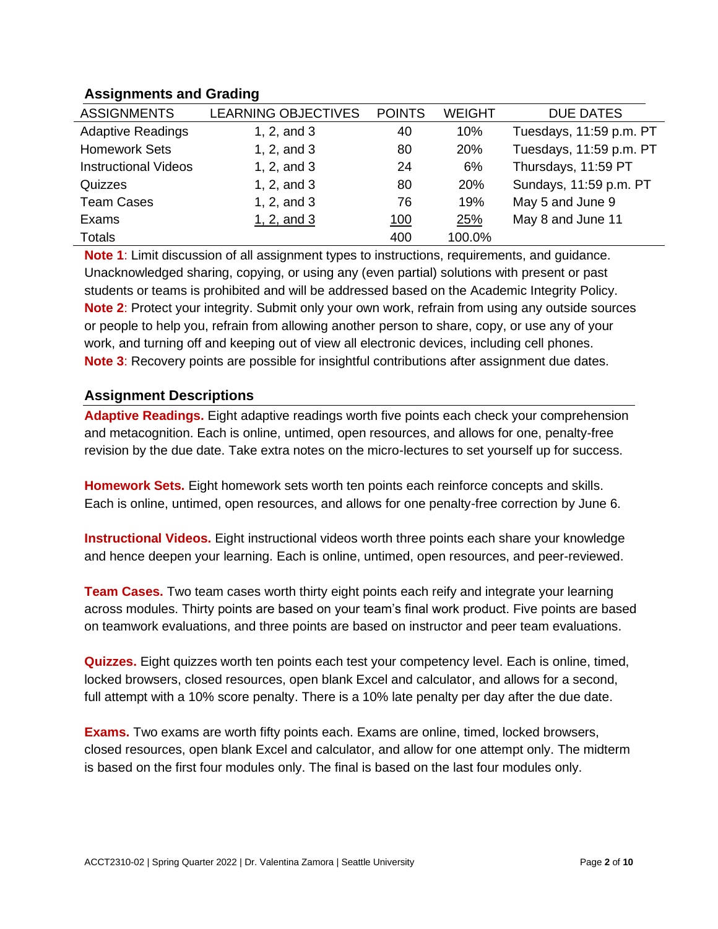# **Assignments and Grading**

| <b>ASSIGNMENTS</b>          | <b>LEARNING OBJECTIVES</b> | <b>POINTS</b> | <b>WEIGHT</b> | <b>DUE DATES</b>        |
|-----------------------------|----------------------------|---------------|---------------|-------------------------|
| <b>Adaptive Readings</b>    | 1, $2$ , and $3$           | 40            | 10%           | Tuesdays, 11:59 p.m. PT |
| <b>Homework Sets</b>        | 1, $2$ , and $3$           | 80            | 20%           | Tuesdays, 11:59 p.m. PT |
| <b>Instructional Videos</b> | 1, 2, and 3                | 24            | 6%            | Thursdays, 11:59 PT     |
| Quizzes                     | 1, $2$ , and $3$           | 80            | <b>20%</b>    | Sundays, 11:59 p.m. PT  |
| <b>Team Cases</b>           | 1, 2, and 3                | 76            | 19%           | May 5 and June 9        |
| Exams                       | 1, $2$ , and $3$           | <u>100</u>    | 25%           | May 8 and June 11       |
| <b>Totals</b>               |                            | 400           | 100.0%        |                         |

**Note 1**: Limit discussion of all assignment types to instructions, requirements, and guidance. Unacknowledged sharing, copying, or using any (even partial) solutions with present or past students or teams is prohibited and will be addressed based on the Academic Integrity Policy. **Note 2**: Protect your integrity. Submit only your own work, refrain from using any outside sources or people to help you, refrain from allowing another person to share, copy, or use any of your work, and turning off and keeping out of view all electronic devices, including cell phones. **Note 3**: Recovery points are possible for insightful contributions after assignment due dates.

# **Assignment Descriptions**

**Adaptive Readings.** Eight adaptive readings worth five points each check your comprehension and metacognition. Each is online, untimed, open resources, and allows for one, penalty-free revision by the due date. Take extra notes on the micro-lectures to set yourself up for success.

**Homework Sets.** Eight homework sets worth ten points each reinforce concepts and skills. Each is online, untimed, open resources, and allows for one penalty-free correction by June 6.

**Instructional Videos.** Eight instructional videos worth three points each share your knowledge and hence deepen your learning. Each is online, untimed, open resources, and peer-reviewed.

**Team Cases.** Two team cases worth thirty eight points each reify and integrate your learning across modules. Thirty points are based on your team's final work product. Five points are based on teamwork evaluations, and three points are based on instructor and peer team evaluations.

**Quizzes.** Eight quizzes worth ten points each test your competency level. Each is online, timed, locked browsers, closed resources, open blank Excel and calculator, and allows for a second, full attempt with a 10% score penalty. There is a 10% late penalty per day after the due date.

**Exams.** Two exams are worth fifty points each. Exams are online, timed, locked browsers, closed resources, open blank Excel and calculator, and allow for one attempt only. The midterm is based on the first four modules only. The final is based on the last four modules only.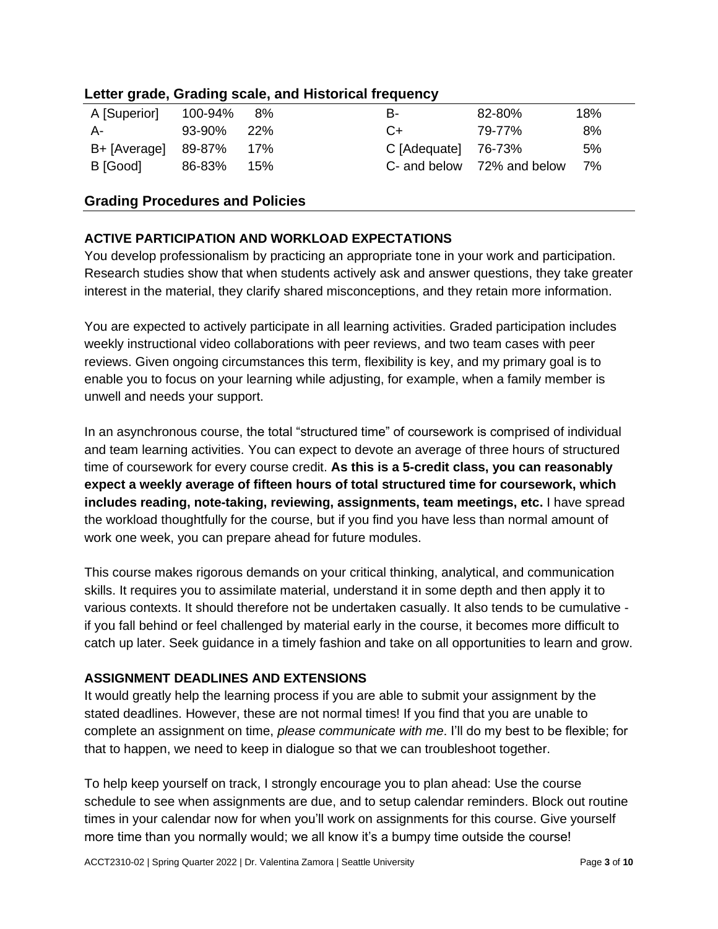| Letter grade, Grading scale, and Historical frequency |  |  |  |  |
|-------------------------------------------------------|--|--|--|--|
|-------------------------------------------------------|--|--|--|--|

| A [Superior] | 100-94%     | - 8%   | в-                      | 82-80%                     | 18% |
|--------------|-------------|--------|-------------------------|----------------------------|-----|
| А-           | 93-90%      | $22\%$ | $C+$                    | 79-77%                     | 8%  |
| B+ [Average] | 89-87%  17% |        | $C$ [Adequate] $76-73%$ |                            | 5%  |
| B [Good]     | 86-83%      | 15%    |                         | C- and below 72% and below | 7%  |
|              |             |        |                         |                            |     |

# **Grading Procedures and Policies**

# **ACTIVE PARTICIPATION AND WORKLOAD EXPECTATIONS**

You develop professionalism by practicing an appropriate tone in your work and participation. Research studies show that when students actively ask and answer questions, they take greater interest in the material, they clarify shared misconceptions, and they retain more information.

You are expected to actively participate in all learning activities. Graded participation includes weekly instructional video collaborations with peer reviews, and two team cases with peer reviews. Given ongoing circumstances this term, flexibility is key, and my primary goal is to enable you to focus on your learning while adjusting, for example, when a family member is unwell and needs your support.

In an asynchronous course, the total "structured time" of coursework is comprised of individual and team learning activities. You can expect to devote an average of three hours of structured time of coursework for every course credit. **As this is a 5-credit class, you can reasonably expect a weekly average of fifteen hours of total structured time for coursework, which includes reading, note-taking, reviewing, assignments, team meetings, etc.** I have spread the workload thoughtfully for the course, but if you find you have less than normal amount of work one week, you can prepare ahead for future modules.

This course makes rigorous demands on your critical thinking, analytical, and communication skills. It requires you to assimilate material, understand it in some depth and then apply it to various contexts. It should therefore not be undertaken casually. It also tends to be cumulative if you fall behind or feel challenged by material early in the course, it becomes more difficult to catch up later. Seek guidance in a timely fashion and take on all opportunities to learn and grow.

# **ASSIGNMENT DEADLINES AND EXTENSIONS**

It would greatly help the learning process if you are able to submit your assignment by the stated deadlines. However, these are not normal times! If you find that you are unable to complete an assignment on time, *please communicate with me*. I'll do my best to be flexible; for that to happen, we need to keep in dialogue so that we can troubleshoot together.

To help keep yourself on track, I strongly encourage you to plan ahead: Use the course schedule to see when assignments are due, and to setup calendar reminders. Block out routine times in your calendar now for when you'll work on assignments for this course. Give yourself more time than you normally would; we all know it's a bumpy time outside the course!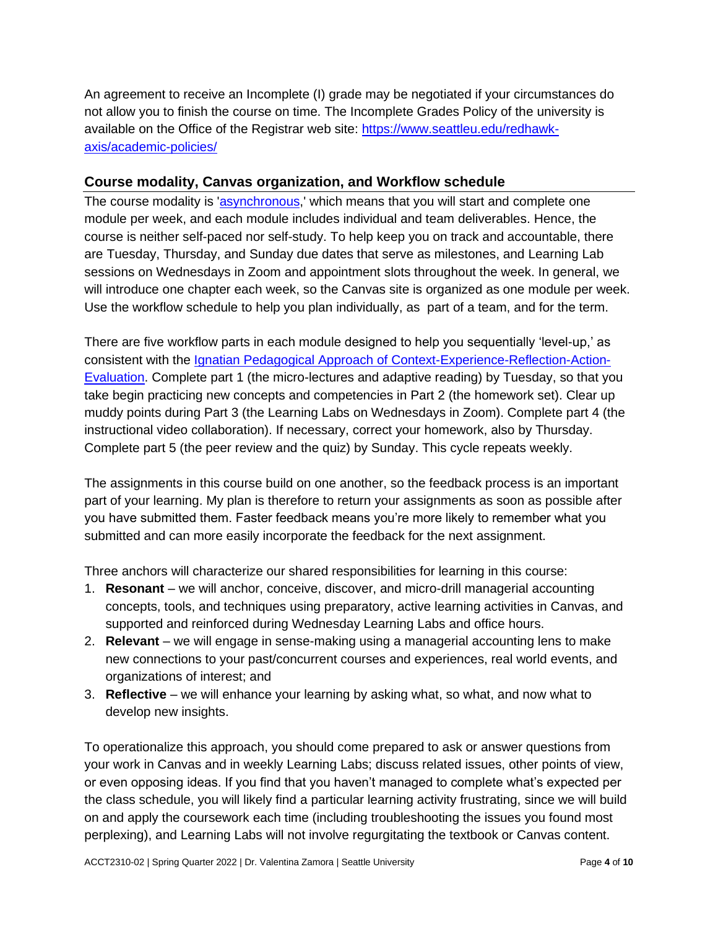An agreement to receive an Incomplete (I) grade may be negotiated if your circumstances do not allow you to finish the course on time. The Incomplete Grades Policy of the university is available on the Office of the Registrar web site: [https://www.seattleu.edu/redhawk](https://www.seattleu.edu/redhawk-axis/academic-policies/)[axis/academic-policies/](https://www.seattleu.edu/redhawk-axis/academic-policies/)

# **Course modality, Canvas organization, and Workflow schedule**

The course modality is ['asynchronous,](https://www.seattleu.edu/business/news-events/covid-19/asynchronous-faqs/)' which means that you will start and complete one module per week, and each module includes individual and team deliverables. Hence, the course is neither self-paced nor self-study. To help keep you on track and accountable, there are Tuesday, Thursday, and Sunday due dates that serve as milestones, and Learning Lab sessions on Wednesdays in Zoom and appointment slots throughout the week. In general, we will introduce one chapter each week, so the Canvas site is organized as one module per week. Use the workflow schedule to help you plan individually, as part of a team, and for the term.

There are five workflow parts in each module designed to help you sequentially 'level-up,' as consistent with the [Ignatian Pedagogical Approach of Context-Experience-Reflection-Action-](https://www.seattleu.edu/media/university-core/files/Ignatian-Pedagogy.pdf)[Evaluation.](https://www.seattleu.edu/media/university-core/files/Ignatian-Pedagogy.pdf) Complete part 1 (the micro-lectures and adaptive reading) by Tuesday, so that you take begin practicing new concepts and competencies in Part 2 (the homework set). Clear up muddy points during Part 3 (the Learning Labs on Wednesdays in Zoom). Complete part 4 (the instructional video collaboration). If necessary, correct your homework, also by Thursday. Complete part 5 (the peer review and the quiz) by Sunday. This cycle repeats weekly.

The assignments in this course build on one another, so the feedback process is an important part of your learning. My plan is therefore to return your assignments as soon as possible after you have submitted them. Faster feedback means you're more likely to remember what you submitted and can more easily incorporate the feedback for the next assignment.

Three anchors will characterize our shared responsibilities for learning in this course:

- 1. **Resonant** we will anchor, conceive, discover, and micro-drill managerial accounting concepts, tools, and techniques using preparatory, active learning activities in Canvas, and supported and reinforced during Wednesday Learning Labs and office hours.
- 2. **Relevant**  we will engage in sense-making using a managerial accounting lens to make new connections to your past/concurrent courses and experiences, real world events, and organizations of interest; and
- 3. **Reflective** we will enhance your learning by asking what, so what, and now what to develop new insights.

To operationalize this approach, you should come prepared to ask or answer questions from your work in Canvas and in weekly Learning Labs; discuss related issues, other points of view, or even opposing ideas. If you find that you haven't managed to complete what's expected per the class schedule, you will likely find a particular learning activity frustrating, since we will build on and apply the coursework each time (including troubleshooting the issues you found most perplexing), and Learning Labs will not involve regurgitating the textbook or Canvas content.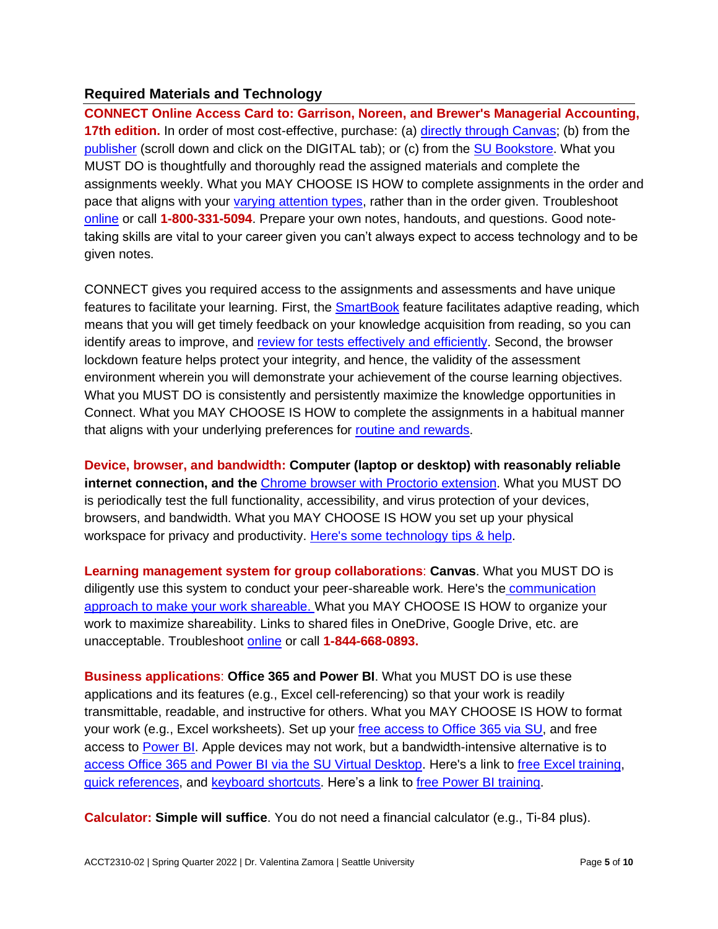# **Required Materials and Technology**

**CONNECT Online Access Card to: Garrison, Noreen, and Brewer's Managerial Accounting, 17th edition.** In order of most cost-effective, purchase: (a) [directly through Canvas;](https://video.mhhe.com/watch/4q72PpEpzkXAd3hW4o52c8) (b) from the [publisher](https://www.mheducation.com/highered/product/managerial-accounting-garrison-noreen/M9781260247787.html#interactiveCollapse) (scroll down and click on the DIGITAL tab); or (c) from the [SU Bookstore.](https://www.bkstr.com/seattleucampusstore/course-materials-results?shopBy=course&divisionDisplayName=&departmentDisplayName=ACCT&courseDisplayName=2310§ionDisplayName=02&programId=3771&termId=100073584) What you MUST DO is thoughtfully and thoroughly read the assigned materials and complete the assignments weekly. What you MAY CHOOSE IS HOW to complete assignments in the order and pace that aligns with your [varying attention types,](https://stevenberlinjohnson.com/your-attention-please-ab2f7586f68e) rather than in the order given. Troubleshoot [online](https://mhedu.force.com/CXG/s/) or call **1-800-331-5094**. Prepare your own notes, handouts, and questions. Good notetaking skills are vital to your career given you can't always expect to access technology and to be given notes.

CONNECT gives you required access to the assignments and assessments and have unique features to facilitate your learning. First, the [SmartBook](https://www.youtube.com/watch?v=PknZUW3jN6E&feature=emb_logo) feature facilitates adaptive reading, which means that you will get timely feedback on your knowledge acquisition from reading, so you can identify areas to improve, and [review for tests effectively and efficiently.](https://www.youtube.com/watch?v=hqbY2tVNDeI&feature=emb_logo) Second, the browser lockdown feature helps protect your integrity, and hence, the validity of the assessment environment wherein you will demonstrate your achievement of the course learning objectives. What you MUST DO is consistently and persistently maximize the knowledge opportunities in Connect. What you MAY CHOOSE IS HOW to complete the assignments in a habitual manner that aligns with your underlying preferences for [routine and rewards.](https://charlesduhigg.com/how-habits-work/)

**Device, browser, and bandwidth: Computer (laptop or desktop) with reasonably reliable internet connection, and the** [Chrome browser with Proctorio extension.](https://mhedu.force.com/CXG/s/article/Waiting-for-connect-mheducation-com) What you MUST DO is periodically test the full functionality, accessibility, and virus protection of your devices, browsers, and bandwidth. What you MAY CHOOSE IS HOW you set up your physical workspace for privacy and productivity. [Here's some technology tips & help.](https://cdlihosting.com/cdlihelp/customguides/techtips/)

**Learning management system for group collaborations**: **Canvas**. What you MUST DO is diligently use this system to conduct your peer-shareable work. Here's the [communication](https://seattleu.instructure.com/courses/1593108/pages/class-participation-and-discussions)  [approach to make your work shareable.](https://seattleu.instructure.com/courses/1593108/pages/class-participation-and-discussions) What you MAY CHOOSE IS HOW to organize your work to maximize shareability. Links to shared files in OneDrive, Google Drive, etc. are unacceptable. Troubleshoot [online](https://www.seattleu.edu/cdlihelp/students/canvas/) or call **1-844-668-0893.**

**Business applications**: **Office 365 and Power BI**. What you MUST DO is use these applications and its features (e.g., Excel cell-referencing) so that your work is readily transmittable, readable, and instructive for others. What you MAY CHOOSE IS HOW to format your work (e.g., Excel worksheets). Set up your [free access to Office 365 via SU,](https://www.seattleu.edu/its/support/guides/office-365/) and free access to [Power](https://powerbi.microsoft.com/en-us/getting-started-with-power-bi/) BI. Apple devices may not work, but a bandwidth-intensive alternative is to [access Office 365 and Power BI via the SU Virtual Desktop.](https://www.seattleu.edu/its/collab/virtual-desktop/) Here's a link to [free Excel training,](https://support.microsoft.com/en-us/training) [quick references,](https://support.microsoft.com/en-us/office/office-cheat-sheets-61abfe7b-1c43-483c-b82b-3806d80e027e) and [keyboard shortcuts.](https://support.microsoft.com/en-us/office/keyboard-shortcuts-in-office-e765366f-24fc-4054-870d-39b214f223fd) Here's a link to [free Power BI training.](https://docs.microsoft.com/en-us/learn/powerplatform/power-bi?WT.mc_id=sitertzn_learntab_guidedlearning-card-powerbi)

**Calculator: Simple will suffice**. You do not need a financial calculator (e.g., Ti-84 plus).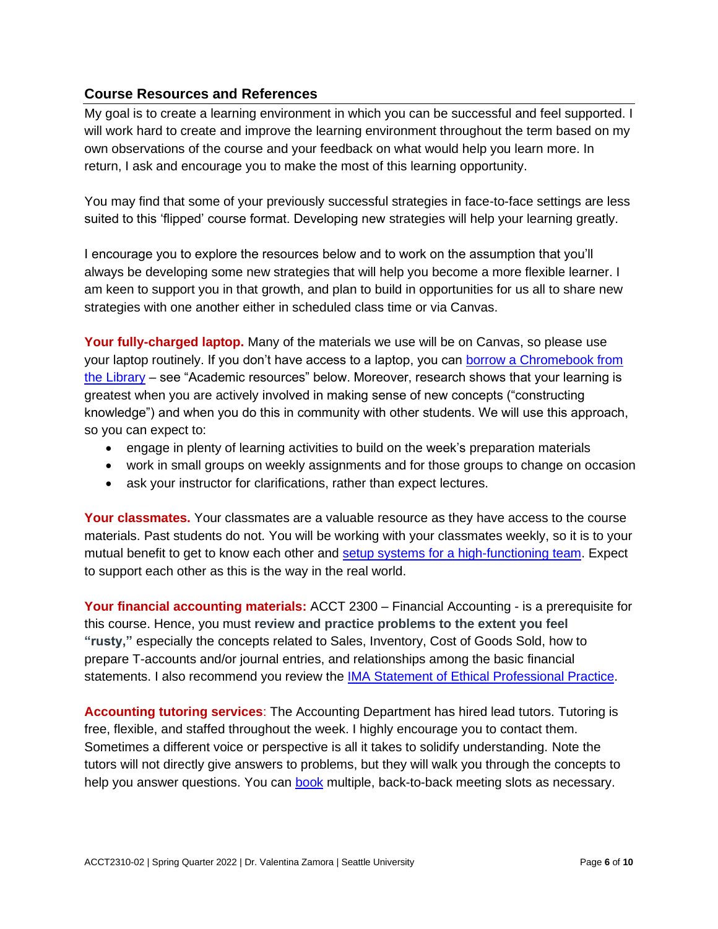# **Course Resources and References**

My goal is to create a learning environment in which you can be successful and feel supported. I will work hard to create and improve the learning environment throughout the term based on my own observations of the course and your feedback on what would help you learn more. In return, I ask and encourage you to make the most of this learning opportunity.

You may find that some of your previously successful strategies in face-to-face settings are less suited to this 'flipped' course format. Developing new strategies will help your learning greatly.

I encourage you to explore the resources below and to work on the assumption that you'll always be developing some new strategies that will help you become a more flexible learner. I am keen to support you in that growth, and plan to build in opportunities for us all to share new strategies with one another either in scheduled class time or via Canvas.

Your fully-charged laptop. Many of the materials we use will be on Canvas, so please use your laptop routinely. If you don't have access to a laptop, you can [borrow a Chromebook from](https://libguides.seattleu.edu/technology)  [the Library](https://libguides.seattleu.edu/technology) – see "Academic resources" below. Moreover, research shows that your learning is greatest when you are actively involved in making sense of new concepts ("constructing knowledge") and when you do this in community with other students. We will use this approach, so you can expect to:

- engage in plenty of learning activities to build on the week's preparation materials
- work in small groups on weekly assignments and for those groups to change on occasion
- ask your instructor for clarifications, rather than expect lectures.

**Your classmates.** Your classmates are a valuable resource as they have access to the course materials. Past students do not. You will be working with your classmates weekly, so it is to your mutual benefit to get to know each other and [setup systems for a high-functioning team.](https://hbr.org/2016/06/the-secrets-of-great-teamwork) Expect to support each other as this is the way in the real world.

**Your financial accounting materials:** ACCT 2300 – Financial Accounting - is a prerequisite for this course. Hence, you must **review and practice problems to the extent you feel "rusty,"** especially the concepts related to Sales, Inventory, Cost of Goods Sold, how to prepare T-accounts and/or journal entries, and relationships among the basic financial statements. I also recommend you review the **IMA Statement of Ethical Professional Practice**.

**Accounting tutoring services**: The Accounting Department has hired lead tutors. Tutoring is free, flexible, and staffed throughout the week. I highly encourage you to contact them. Sometimes a different voice or perspective is all it takes to solidify understanding. Note the tutors will not directly give answers to problems, but they will walk you through the concepts to help you answer questions. You can [book](https://outlook.office365.com/owa/calendar/AccountingLab1@redhawks.onmicrosoft.com/bookings/) multiple, back-to-back meeting slots as necessary.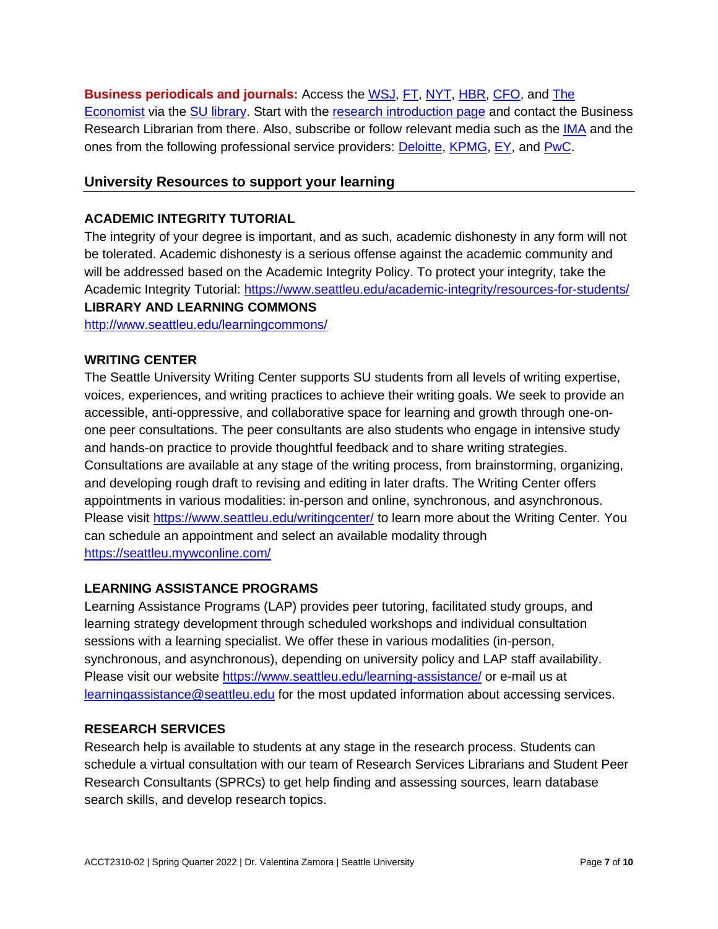**Business periodicals and journals:** Access the [WSJ,](https://primo.seattleu.edu/permalink/f/olv9iv/CP71186177150001451) [FT,](https://primo.seattleu.edu/permalink/f/olv9iv/CP71186165710001451) [NYT,](https://primo.seattleu.edu/permalink/f/olv9iv/CP71226258600001451) [HBR,](https://primo.seattleu.edu/permalink/f/olv9iv/CP71185743750001451) [CFO,](https://primo.seattleu.edu/permalink/f/olv9iv/CP71185744910001451) and [The](https://primo.seattleu.edu/permalink/f/olv9iv/CP71185505580001451)  [Economist](https://primo.seattleu.edu/permalink/f/olv9iv/CP71185505580001451) via the [SU library](https://www.seattleu.edu/library/). Start with the [research introduction page](https://libguides.seattleu.edu/business) and contact the Business Research Librarian from there. Also, subscribe or follow relevant media such as the [IMA](https://www.imanet.org/?ssopc=1) and the ones from the following professional service providers: **Deloitte, [KPMG,](https://advisory.kpmg.us/insights/insights-for-your-role/cfo-real-insights.html) [EY,](https://www.ey.com/en_gl/cfo-agenda) and [PwC.](https://www.pwc.com/us/en/cfodirect.html)** 

### **University Resources to support your learning**

#### **ACADEMIC INTEGRITY TUTORIAL**

The integrity of your degree is important, and as such, academic dishonesty in any form will not be tolerated. Academic dishonesty is a serious offense against the academic community and will be addressed based on the Academic Integrity Policy. To protect your integrity, take the Academic Integrity Tutorial:<https://www.seattleu.edu/academic-integrity/resources-for-students/> **LIBRARY AND LEARNING COMMONS** <http://www.seattleu.edu/learningcommons/>

# **WRITING CENTER**

The Seattle University Writing Center supports SU students from all levels of writing expertise, voices, experiences, and writing practices to achieve their writing goals. We seek to provide an accessible, anti-oppressive, and collaborative space for learning and growth through one-onone peer consultations. The peer consultants are also students who engage in intensive study and hands-on practice to provide thoughtful feedback and to share writing strategies. Consultations are available at any stage of the writing process, from brainstorming, organizing, and developing rough draft to revising and editing in later drafts. The Writing Center offers appointments in various modalities: in-person and online, synchronous, and asynchronous. Please visit<https://www.seattleu.edu/writingcenter/> to learn more about the Writing Center. You can schedule an appointment and select an available modality through <https://seattleu.mywconline.com/>

#### **LEARNING ASSISTANCE PROGRAMS**

Learning Assistance Programs (LAP) provides peer tutoring, facilitated study groups, and learning strategy development through scheduled workshops and individual consultation sessions with a learning specialist. We offer these in various modalities (in-person, synchronous, and asynchronous), depending on university policy and LAP staff availability. Please visit our website [https://www.seattleu.edu/learning-assistance/](https://nam02.safelinks.protection.outlook.com/?url=https%3A%2F%2Fwww.seattleu.edu%2Flearning-assistance%2F&data=04%7C01%7Cgreend%40seattleu.edu%7Cccb4a901bb5b4376447608d947c219c3%7Cbc10e052b01c48499967ee7ec74fc9d8%7C0%7C0%7C637619721238086234%7CUnknown%7CTWFpbGZsb3d8eyJWIjoiMC4wLjAwMDAiLCJQIjoiV2luMzIiLCJBTiI6Ik1haWwiLCJXVCI6Mn0%3D%7C1000&sdata=RFLUu%2BD9%2BL1s0oeE3CqrYPpMwnOJZXIBKRFXFCvjhEc%3D&reserved=0) or e-mail us at [learningassistance@seattleu.edu](mailto:learningassistance@seattleu.edu) for the most updated information about accessing services.

# **RESEARCH SERVICES**

Research help is available to students at any stage in the research process. Students can schedule a virtual consultation with our team of Research Services Librarians and Student Peer Research Consultants (SPRCs) to get help finding and assessing sources, learn database search skills, and develop research topics.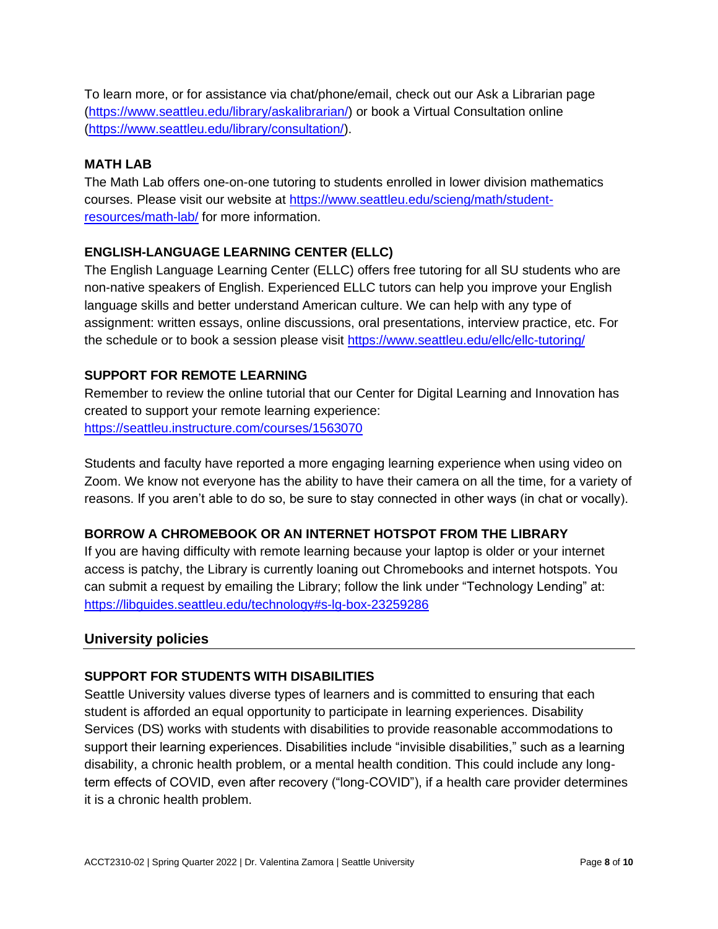To learn more, or for assistance via chat/phone/email, check out our Ask a Librarian page [\(https://www.seattleu.edu/library/askalibrarian/\)](https://nam02.safelinks.protection.outlook.com/?url=https%3A%2F%2Fwww.seattleu.edu%2Flibrary%2Faskalibrarian%2F&data=04%7C01%7Cgreend%40seattleu.edu%7Caf170627cc644517733608d987810488%7Cbc10e052b01c48499967ee7ec74fc9d8%7C0%7C0%7C637689810460609282%7CUnknown%7CTWFpbGZsb3d8eyJWIjoiMC4wLjAwMDAiLCJQIjoiV2luMzIiLCJBTiI6Ik1haWwiLCJXVCI6Mn0%3D%7C1000&sdata=3rJuro%2BhtMlVVPjhwojZgyh%2F7YW9rZpyLeZrvY5Jr5Y%3D&reserved=0) or book a Virtual Consultation online [\(https://www.seattleu.edu/library/consultation/\)](https://www.seattleu.edu/library/consultation/).

### **MATH LAB**

The Math Lab offers one-on-one tutoring to students enrolled in lower division mathematics courses. Please visit our website at [https://www.seattleu.edu/scieng/math/student](https://www.seattleu.edu/scieng/math/student-resources/math-lab/)[resources/math-lab/](https://www.seattleu.edu/scieng/math/student-resources/math-lab/) for more information.

# **ENGLISH-LANGUAGE LEARNING CENTER (ELLC)**

The English Language Learning Center (ELLC) offers free tutoring for all SU students who are non-native speakers of English. Experienced ELLC tutors can help you improve your English language skills and better understand American culture. We can help with any type of assignment: written essays, online discussions, oral presentations, interview practice, etc. For the schedule or to book a session please visit <https://www.seattleu.edu/ellc/ellc-tutoring/>

# **SUPPORT FOR REMOTE LEARNING**

Remember to review the online tutorial that our Center for Digital Learning and Innovation has created to support your remote learning experience: <https://seattleu.instructure.com/courses/1563070>

Students and faculty have reported a more engaging learning experience when using video on Zoom. We know not everyone has the ability to have their camera on all the time, for a variety of reasons. If you aren't able to do so, be sure to stay connected in other ways (in chat or vocally).

# **BORROW A CHROMEBOOK OR AN INTERNET HOTSPOT FROM THE LIBRARY**

If you are having difficulty with remote learning because your laptop is older or your internet access is patchy, the Library is currently loaning out Chromebooks and internet hotspots. You can submit a request by emailing the Library; follow the link under "Technology Lending" at: <https://libguides.seattleu.edu/technology#s-lg-box-23259286>

# **University policies**

#### **SUPPORT FOR STUDENTS WITH DISABILITIES**

Seattle University values diverse types of learners and is committed to ensuring that each student is afforded an equal opportunity to participate in learning experiences. Disability Services (DS) works with students with disabilities to provide reasonable accommodations to support their learning experiences. Disabilities include "invisible disabilities," such as a learning disability, a chronic health problem, or a mental health condition. This could include any longterm effects of COVID, even after recovery ("long-COVID"), if a health care provider determines it is a chronic health problem.